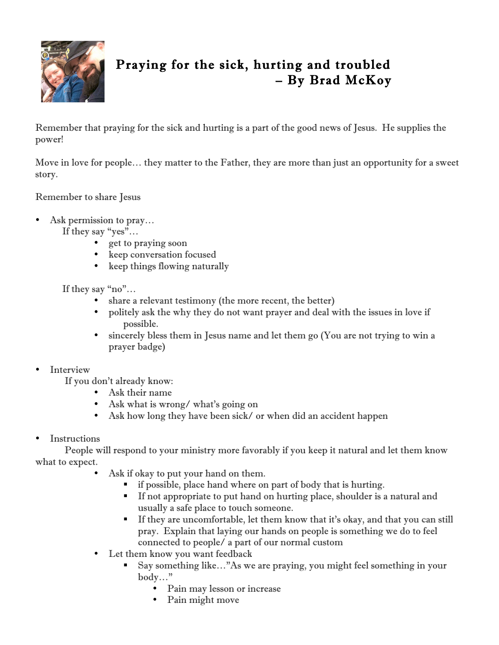

## Praying for the sick, hurting and troubled – By Brad McKoy

Remember that praying for the sick and hurting is a part of the good news of Jesus. He supplies the power!

Move in love for people… they matter to the Father, they are more than just an opportunity for a sweet story.

Remember to share Jesus

• Ask permission to pray...

If they say "yes"…

- get to praying soon
- keep conversation focused
- keep things flowing naturally

If they say "no"…

- share a relevant testimony (the more recent, the better)
- politely ask the why they do not want prayer and deal with the issues in love if possible.
- sincerely bless them in Jesus name and let them go (You are not trying to win a prayer badge)

## **Interview**

If you don't already know:

- Ask their name
- Ask what is wrong/ what's going on
- Ask how long they have been sick/ or when did an accident happen
- **Instructions**

People will respond to your ministry more favorably if you keep it natural and let them know what to expect.

- Ask if okay to put your hand on them.
	- if possible, place hand where on part of body that is hurting.
	- If not appropriate to put hand on hurting place, shoulder is a natural and usually a safe place to touch someone.
	- If they are uncomfortable, let them know that it's okay, and that you can still pray. Explain that laying our hands on people is something we do to feel connected to people/ a part of our normal custom
- Let them know you want feedback
	- Say something like…"As we are praying, you might feel something in your body…"
		- Pain may lesson or increase
		- Pain might move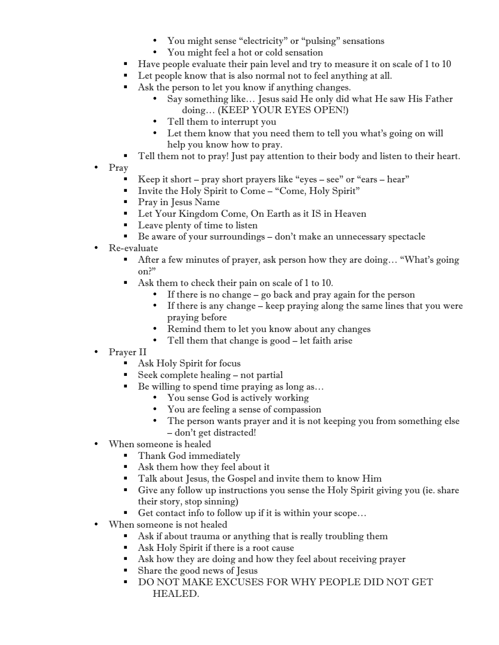- You might sense "electricity" or "pulsing" sensations
- You might feel a hot or cold sensation
- Have people evaluate their pain level and try to measure it on scale of 1 to 10
- Let people know that is also normal not to feel anything at all.
- Ask the person to let you know if anything changes.
	- Say something like… Jesus said He only did what He saw His Father doing… (KEEP YOUR EYES OPEN!)
	- Tell them to interrupt you
	- Let them know that you need them to tell you what's going on will help you know how to pray.
- Tell them not to pray! Just pay attention to their body and listen to their heart.
- Pray
	- Exequence it short pray short prayers like "eyes see" or "ears hear"
	- Invite the Holy Spirit to Come "Come, Holy Spirit"
	- **Pray in Jesus Name**
	- Let Your Kingdom Come, On Earth as it IS in Heaven
	- Leave plenty of time to listen
	- Be aware of your surroundings don't make an unnecessary spectacle
- Re-evaluate
	- After a few minutes of prayer, ask person how they are doing… "What's going on?"
	- Ask them to check their pain on scale of 1 to 10.
		- If there is no change go back and pray again for the person
		- If there is any change keep praying along the same lines that you were praying before
		- Remind them to let you know about any changes
		- Tell them that change is good let faith arise
- Prayer II
	- Ask Holy Spirit for focus
	- Seek complete healing not partial
	- Be willing to spend time praying as long as...
		- You sense God is actively working
		- You are feeling a sense of compassion
		- The person wants prayer and it is not keeping you from something else – don't get distracted!
- When someone is healed
	- Thank God immediately
	- Ask them how they feel about it
	- **Talk about Jesus, the Gospel and invite them to know Him**
	- Give any follow up instructions you sense the Holy Spirit giving you (ie. share their story, stop sinning)
	- Get contact info to follow up if it is within your scope...
- When someone is not healed
	- Ask if about trauma or anything that is really troubling them
	- Ask Holy Spirit if there is a root cause
	- Ask how they are doing and how they feel about receiving prayer
	- Share the good news of Jesus
	- DO NOT MAKE EXCUSES FOR WHY PEOPLE DID NOT GET HEALED.